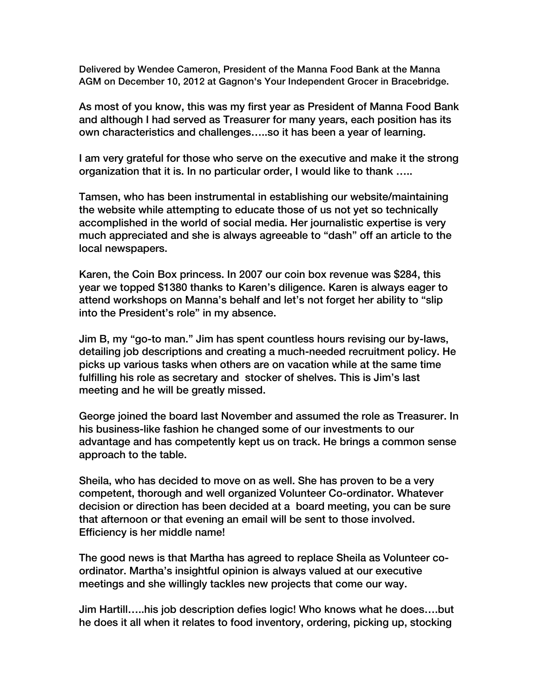Delivered by Wendee Cameron, President of the Manna Food Bank at the Manna AGM on December 10, 2012 at Gagnon's Your Independent Grocer in Bracebridge.

As most of you know, this was my first year as President of Manna Food Bank and although I had served as Treasurer for many years, each position has its own characteristics and challenges…..so it has been a year of learning.

I am very grateful for those who serve on the executive and make it the strong organization that it is. In no particular order, I would like to thank …..

Tamsen, who has been instrumental in establishing our website/maintaining the website while attempting to educate those of us not yet so technically accomplished in the world of social media. Her journalistic expertise is very much appreciated and she is always agreeable to "dash" off an article to the local newspapers.

Karen, the Coin Box princess. In 2007 our coin box revenue was \$284, this year we topped \$1380 thanks to Karen's diligence. Karen is always eager to attend workshops on Manna's behalf and let's not forget her ability to "slip into the President's role" in my absence.

Jim B, my "go-to man." Jim has spent countless hours revising our by-laws, detailing job descriptions and creating a much-needed recruitment policy. He picks up various tasks when others are on vacation while at the same time fulfilling his role as secretary and stocker of shelves. This is Jim's last meeting and he will be greatly missed.

George joined the board last November and assumed the role as Treasurer. In his business-like fashion he changed some of our investments to our advantage and has competently kept us on track. He brings a common sense approach to the table.

Sheila, who has decided to move on as well. She has proven to be a very competent, thorough and well organized Volunteer Co-ordinator. Whatever decision or direction has been decided at a board meeting, you can be sure that afternoon or that evening an email will be sent to those involved. Efficiency is her middle name!

The good news is that Martha has agreed to replace Sheila as Volunteer coordinator. Martha's insightful opinion is always valued at our executive meetings and she willingly tackles new projects that come our way.

Jim Hartill…..his job description defies logic! Who knows what he does….but he does it all when it relates to food inventory, ordering, picking up, stocking